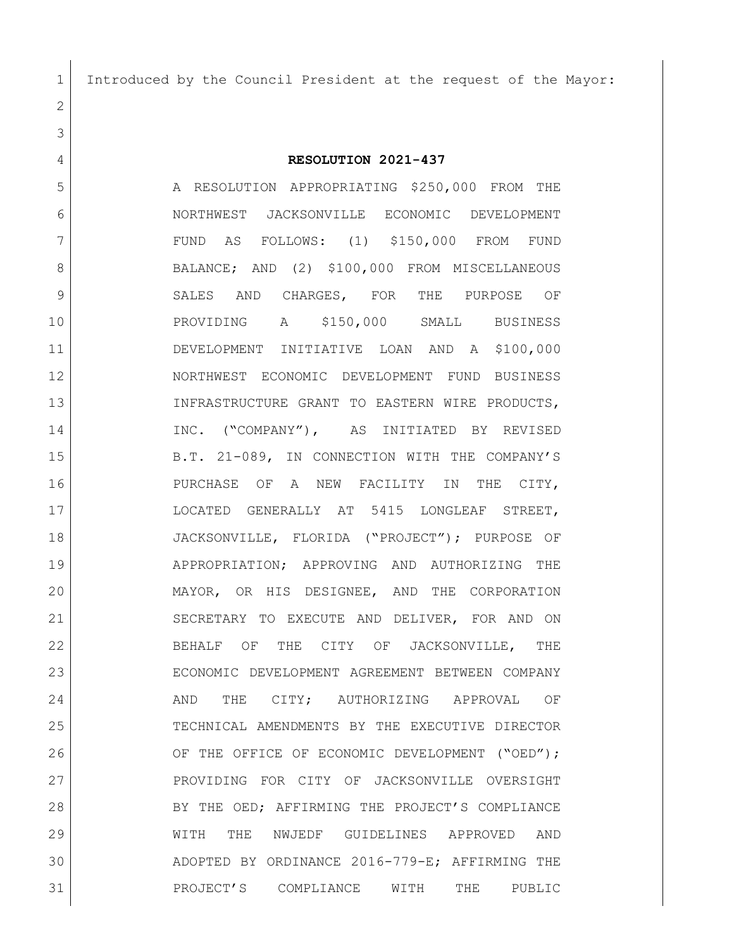Introduced by the Council President at the request of the Mayor:

**RESOLUTION 2021-437**

 A RESOLUTION APPROPRIATING \$250,000 FROM THE NORTHWEST JACKSONVILLE ECONOMIC DEVELOPMENT FUND AS FOLLOWS: (1) \$150,000 FROM FUND 8 BALANCE; AND (2) \$100,000 FROM MISCELLANEOUS 9 SALES AND CHARGES, FOR THE PURPOSE OF PROVIDING A \$150,000 SMALL BUSINESS DEVELOPMENT INITIATIVE LOAN AND A \$100,000 NORTHWEST ECONOMIC DEVELOPMENT FUND BUSINESS 13 INFRASTRUCTURE GRANT TO EASTERN WIRE PRODUCTS, INC. ("COMPANY"), AS INITIATED BY REVISED 15 B.T. 21-089, IN CONNECTION WITH THE COMPANY'S **PURCHASE OF A NEW FACILITY IN THE CITY,**  LOCATED GENERALLY AT 5415 LONGLEAF STREET, JACKSONVILLE, FLORIDA ("PROJECT"); PURPOSE OF APPROPRIATION; APPROVING AND AUTHORIZING THE MAYOR, OR HIS DESIGNEE, AND THE CORPORATION SECRETARY TO EXECUTE AND DELIVER, FOR AND ON BEHALF OF THE CITY OF JACKSONVILLE, THE ECONOMIC DEVELOPMENT AGREEMENT BETWEEN COMPANY 24 AND THE CITY; AUTHORIZING APPROVAL OF TECHNICAL AMENDMENTS BY THE EXECUTIVE DIRECTOR 26 OF THE OFFICE OF ECONOMIC DEVELOPMENT ("OED"); PROVIDING FOR CITY OF JACKSONVILLE OVERSIGHT 28 BY THE OED; AFFIRMING THE PROJECT'S COMPLIANCE WITH THE NWJEDF GUIDELINES APPROVED AND ADOPTED BY ORDINANCE 2016-779-E; AFFIRMING THE PROJECT'S COMPLIANCE WITH THE PUBLIC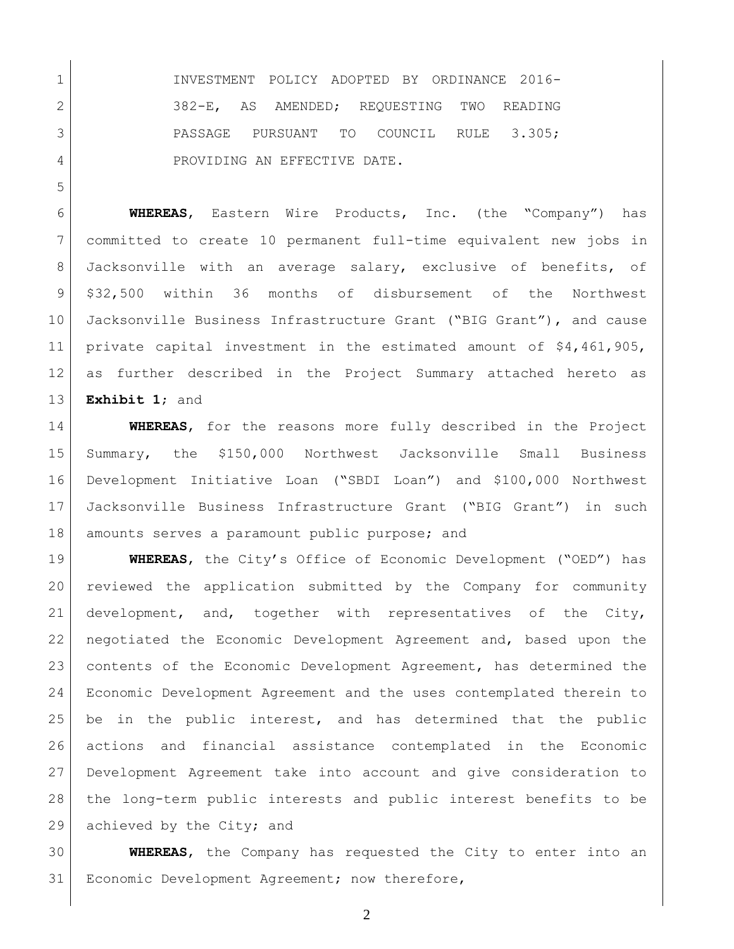INVESTMENT POLICY ADOPTED BY ORDINANCE 2016- 2 382-E, AS AMENDED; REQUESTING TWO READING 3 PASSAGE PURSUANT TO COUNCIL RULE 3.305; 4 PROVIDING AN EFFECTIVE DATE.

 **WHEREAS**, Eastern Wire Products, Inc. (the "Company") has committed to create 10 permanent full-time equivalent new jobs in Jacksonville with an average salary, exclusive of benefits, of \$32,500 within 36 months of disbursement of the Northwest Jacksonville Business Infrastructure Grant ("BIG Grant"), and cause private capital investment in the estimated amount of \$4,461,905, as further described in the Project Summary attached hereto as **Exhibit 1**; and

 **WHEREAS**, for the reasons more fully described in the Project Summary, the \$150,000 Northwest Jacksonville Small Business Development Initiative Loan ("SBDI Loan") and \$100,000 Northwest Jacksonville Business Infrastructure Grant ("BIG Grant") in such 18 | amounts serves a paramount public purpose; and

 **WHEREAS**, the City's Office of Economic Development ("OED") has reviewed the application submitted by the Company for community development, and, together with representatives of the City, negotiated the Economic Development Agreement and, based upon the 23 contents of the Economic Development Agreement, has determined the Economic Development Agreement and the uses contemplated therein to be in the public interest, and has determined that the public actions and financial assistance contemplated in the Economic Development Agreement take into account and give consideration to the long-term public interests and public interest benefits to be 29 achieved by the City; and

 **WHEREAS**, the Company has requested the City to enter into an 31 | Economic Development Agreement; now therefore,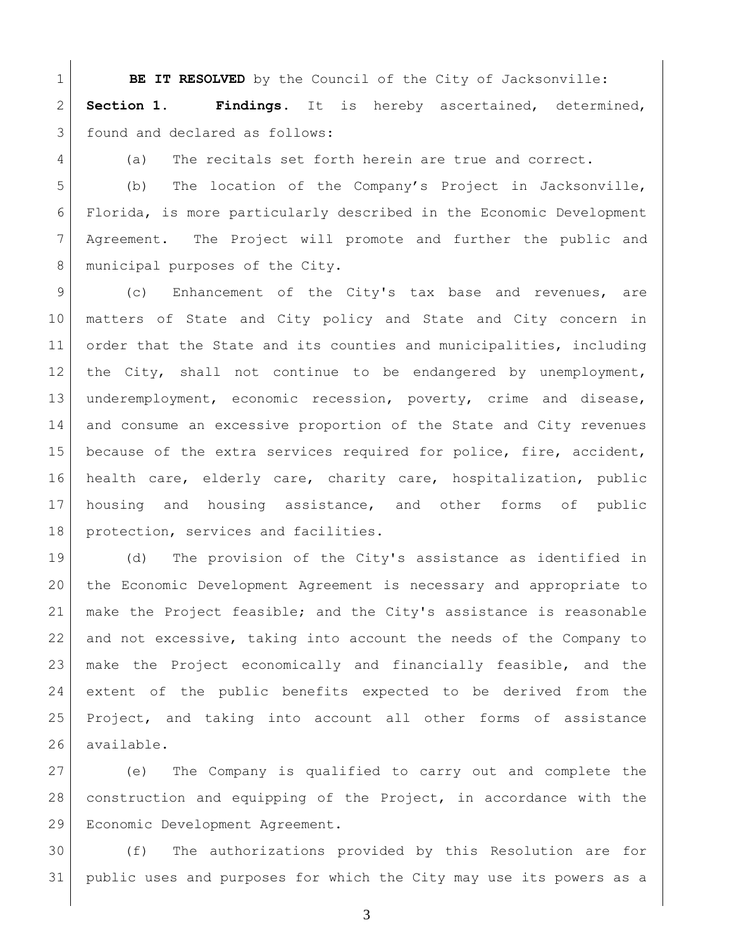**BE IT RESOLVED** by the Council of the City of Jacksonville: **Section 1. Findings**. It is hereby ascertained, determined, 3 found and declared as follows:

4 (a) The recitals set forth herein are true and correct.

 (b) The location of the Company's Project in Jacksonville, Florida, is more particularly described in the Economic Development Agreement. The Project will promote and further the public and 8 municipal purposes of the City.

9 (c) Enhancement of the City's tax base and revenues, are matters of State and City policy and State and City concern in order that the State and its counties and municipalities, including the City, shall not continue to be endangered by unemployment, underemployment, economic recession, poverty, crime and disease, and consume an excessive proportion of the State and City revenues because of the extra services required for police, fire, accident, health care, elderly care, charity care, hospitalization, public housing and housing assistance, and other forms of public 18 protection, services and facilities.

 (d) The provision of the City's assistance as identified in the Economic Development Agreement is necessary and appropriate to make the Project feasible; and the City's assistance is reasonable and not excessive, taking into account the needs of the Company to make the Project economically and financially feasible, and the extent of the public benefits expected to be derived from the Project, and taking into account all other forms of assistance available.

 (e) The Company is qualified to carry out and complete the construction and equipping of the Project, in accordance with the Economic Development Agreement.

 (f) The authorizations provided by this Resolution are for public uses and purposes for which the City may use its powers as a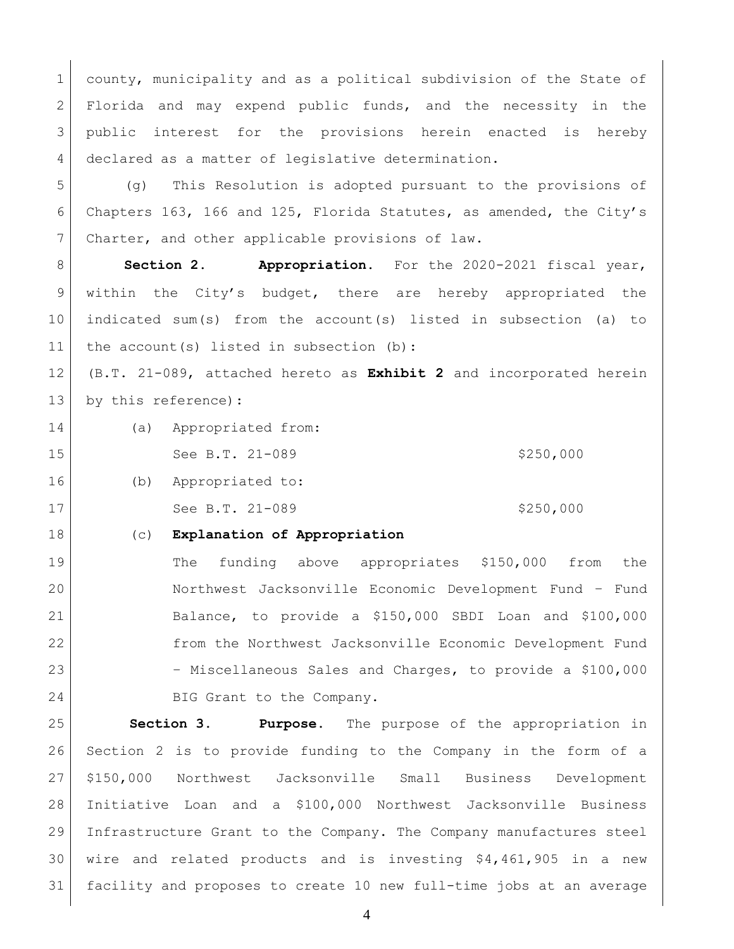1 county, municipality and as a political subdivision of the State of 2 Florida and may expend public funds, and the necessity in the 3 public interest for the provisions herein enacted is hereby declared as a matter of legislative determination.

 (g) This Resolution is adopted pursuant to the provisions of Chapters 163, 166 and 125, Florida Statutes, as amended, the City's Charter, and other applicable provisions of law.

8 | **Section 2. Appropriation.** For the 2020-2021 fiscal year, within the City's budget, there are hereby appropriated the indicated sum(s) from the account(s) listed in subsection (a) to 11 the account(s) listed in subsection (b):

 (B.T. 21-089, attached hereto as **Exhibit 2** and incorporated herein 13 by this reference):

(a) Appropriated from:

15 See B.T. 21-089 \$250,000

- 16 (b) Appropriated to: 17 See B.T. 21-089 \$250,000
	-

(c) **Explanation of Appropriation**

 The funding above appropriates \$150,000 from the Northwest Jacksonville Economic Development Fund – Fund Balance, to provide a \$150,000 SBDI Loan and \$100,000 from the Northwest Jacksonville Economic Development Fund – Miscellaneous Sales and Charges, to provide a \$100,000 24 BIG Grant to the Company.

 **Section 3. Purpose.** The purpose of the appropriation in Section 2 is to provide funding to the Company in the form of a \$150,000 Northwest Jacksonville Small Business Development Initiative Loan and a \$100,000 Northwest Jacksonville Business Infrastructure Grant to the Company. The Company manufactures steel wire and related products and is investing \$4,461,905 in a new facility and proposes to create 10 new full-time jobs at an average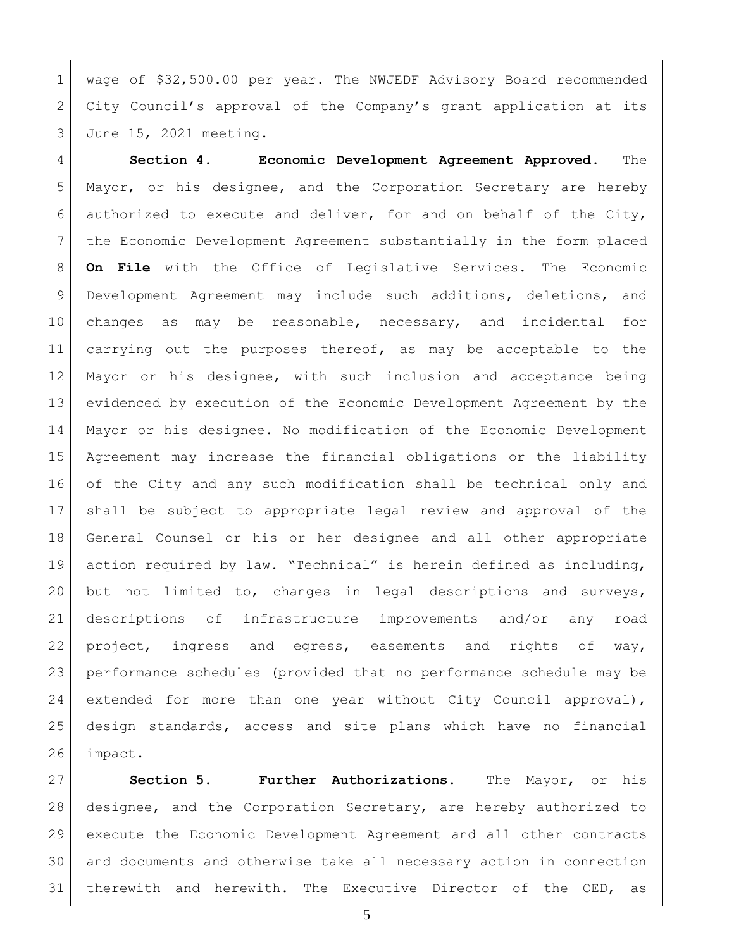wage of \$32,500.00 per year. The NWJEDF Advisory Board recommended City Council's approval of the Company's grant application at its June 15, 2021 meeting.

 **Section 4. Economic Development Agreement Approved.** The Mayor, or his designee, and the Corporation Secretary are hereby 6 authorized to execute and deliver, for and on behalf of the City, the Economic Development Agreement substantially in the form placed **On File** with the Office of Legislative Services. The Economic Development Agreement may include such additions, deletions, and changes as may be reasonable, necessary, and incidental for 11 carrying out the purposes thereof, as may be acceptable to the Mayor or his designee, with such inclusion and acceptance being evidenced by execution of the Economic Development Agreement by the Mayor or his designee. No modification of the Economic Development Agreement may increase the financial obligations or the liability of the City and any such modification shall be technical only and shall be subject to appropriate legal review and approval of the General Counsel or his or her designee and all other appropriate action required by law. "Technical" is herein defined as including, but not limited to, changes in legal descriptions and surveys, descriptions of infrastructure improvements and/or any road project, ingress and egress, easements and rights of way, performance schedules (provided that no performance schedule may be 24 extended for more than one year without City Council approval), design standards, access and site plans which have no financial impact.

 **Section 5. Further Authorizations.** The Mayor, or his designee, and the Corporation Secretary, are hereby authorized to execute the Economic Development Agreement and all other contracts and documents and otherwise take all necessary action in connection therewith and herewith. The Executive Director of the OED, as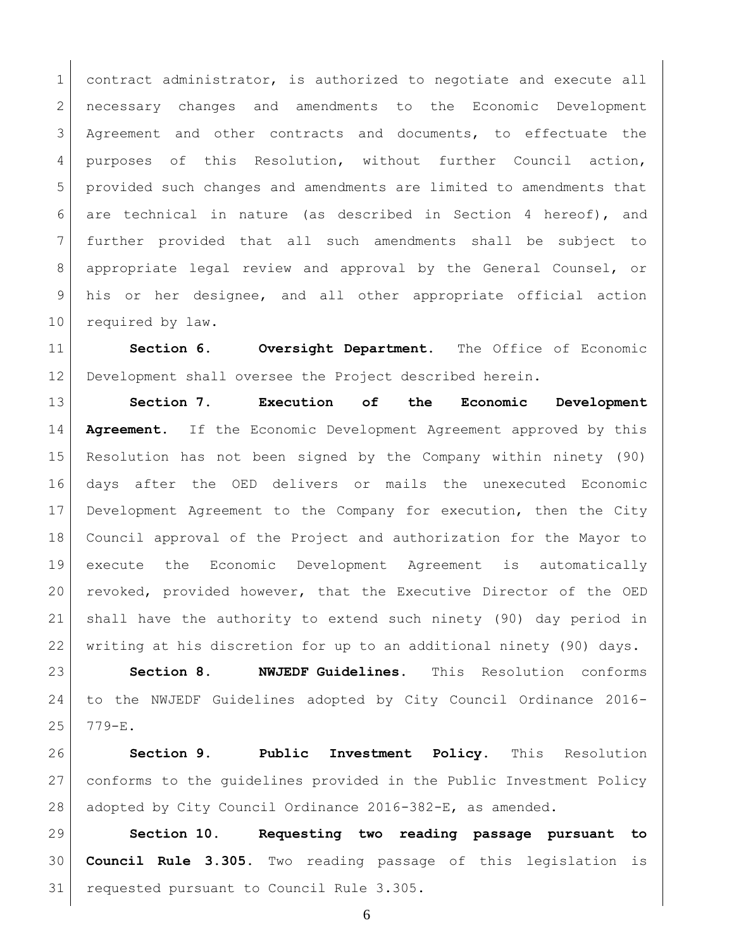1 contract administrator, is authorized to negotiate and execute all necessary changes and amendments to the Economic Development Agreement and other contracts and documents, to effectuate the purposes of this Resolution, without further Council action, provided such changes and amendments are limited to amendments that are technical in nature (as described in Section 4 hereof), and further provided that all such amendments shall be subject to appropriate legal review and approval by the General Counsel, or his or her designee, and all other appropriate official action 10 required by law.

 **Section 6. Oversight Department.** The Office of Economic Development shall oversee the Project described herein.

 **Section 7. Execution of the Economic Development Agreement.** If the Economic Development Agreement approved by this Resolution has not been signed by the Company within ninety (90) days after the OED delivers or mails the unexecuted Economic Development Agreement to the Company for execution, then the City Council approval of the Project and authorization for the Mayor to execute the Economic Development Agreement is automatically revoked, provided however, that the Executive Director of the OED shall have the authority to extend such ninety (90) day period in 22 | writing at his discretion for up to an additional ninety (90) days.

 **Section 8. NWJEDF Guidelines.** This Resolution conforms to the NWJEDF Guidelines adopted by City Council Ordinance 2016- 779-E.

 **Section 9. Public Investment Policy.** This Resolution conforms to the guidelines provided in the Public Investment Policy adopted by City Council Ordinance 2016-382-E, as amended.

 **Section 10. Requesting two reading passage pursuant to Council Rule 3.305.** Two reading passage of this legislation is requested pursuant to Council Rule 3.305.

```
6
```